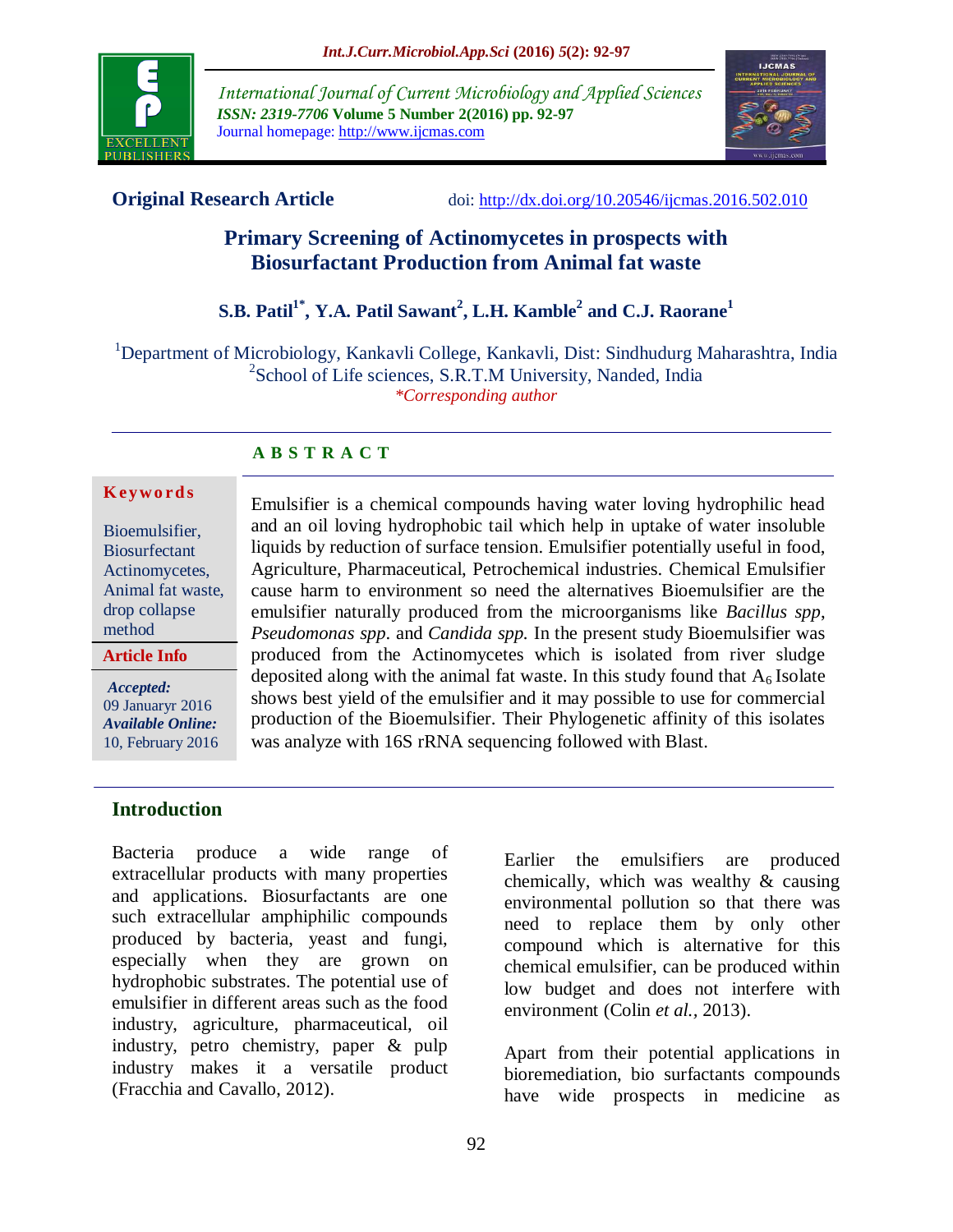

*International Journal of Current Microbiology and Applied Sciences ISSN: 2319-7706* **Volume 5 Number 2(2016) pp. 92-97** Journal homepage: http://www.ijcmas.com



**Original Research Article** doi: [http://dx.doi.org/10.20546/ijcmas.2016.502.010](http://dx.doi.org/10.20546/ijcmas.2016.501.010)

# **Primary Screening of Actinomycetes in prospects with Biosurfactant Production from Animal fat waste**

# **S.B. Patil1\* , Y.A. Patil Sawant 2 , L.H. Kamble<sup>2</sup> and C.J. Raorane<sup>1</sup>**

<sup>1</sup>Department of Microbiology, Kankavli College, Kankavli, Dist: Sindhudurg Maharashtra, India <sup>2</sup>School of Life sciences, S.R.T.M University, Nanded, India *\*Corresponding author*

# **A B S T R A C T**

#### **K ey w o rd s**

Bioemulsifier, **Biosurfectant** Actinomycetes, Animal fat waste, drop collapse method

*Accepted:*  09 Januaryr 2016 *Available Online:* 10, February 2016

**Article Info**

Emulsifier is a chemical compounds having water loving hydrophilic head and an oil loving hydrophobic tail which help in uptake of water insoluble liquids by reduction of surface tension. Emulsifier potentially useful in food, Agriculture, Pharmaceutical, Petrochemical industries. Chemical Emulsifier cause harm to environment so need the alternatives Bioemulsifier are the emulsifier naturally produced from the microorganisms like *Bacillus spp*, *Pseudomonas spp*. and *Candida spp.* In the present study Bioemulsifier was produced from the Actinomycetes which is isolated from river sludge deposited along with the animal fat waste. In this study found that  $A<sub>6</sub>$  Isolate shows best yield of the emulsifier and it may possible to use for commercial production of the Bioemulsifier. Their Phylogenetic affinity of this isolates was analyze with 16S rRNA sequencing followed with Blast.

## **Introduction**

Bacteria produce a wide range of extracellular products with many properties and applications. Biosurfactants are one such extracellular amphiphilic compounds produced by bacteria, yeast and fungi, especially when they are grown on hydrophobic substrates. The potential use of emulsifier in different areas such as the food industry, agriculture, pharmaceutical, oil industry, petro chemistry, paper & pulp industry makes it a versatile product (Fracchia and Cavallo, 2012).

Earlier the emulsifiers are produced chemically, which was wealthy & causing environmental pollution so that there was need to replace them by only other compound which is alternative for this chemical emulsifier, can be produced within low budget and does not interfere with environment (Colin *et al.,* 2013).

Apart from their potential applications in bioremediation, bio surfactants compounds have wide prospects in medicine as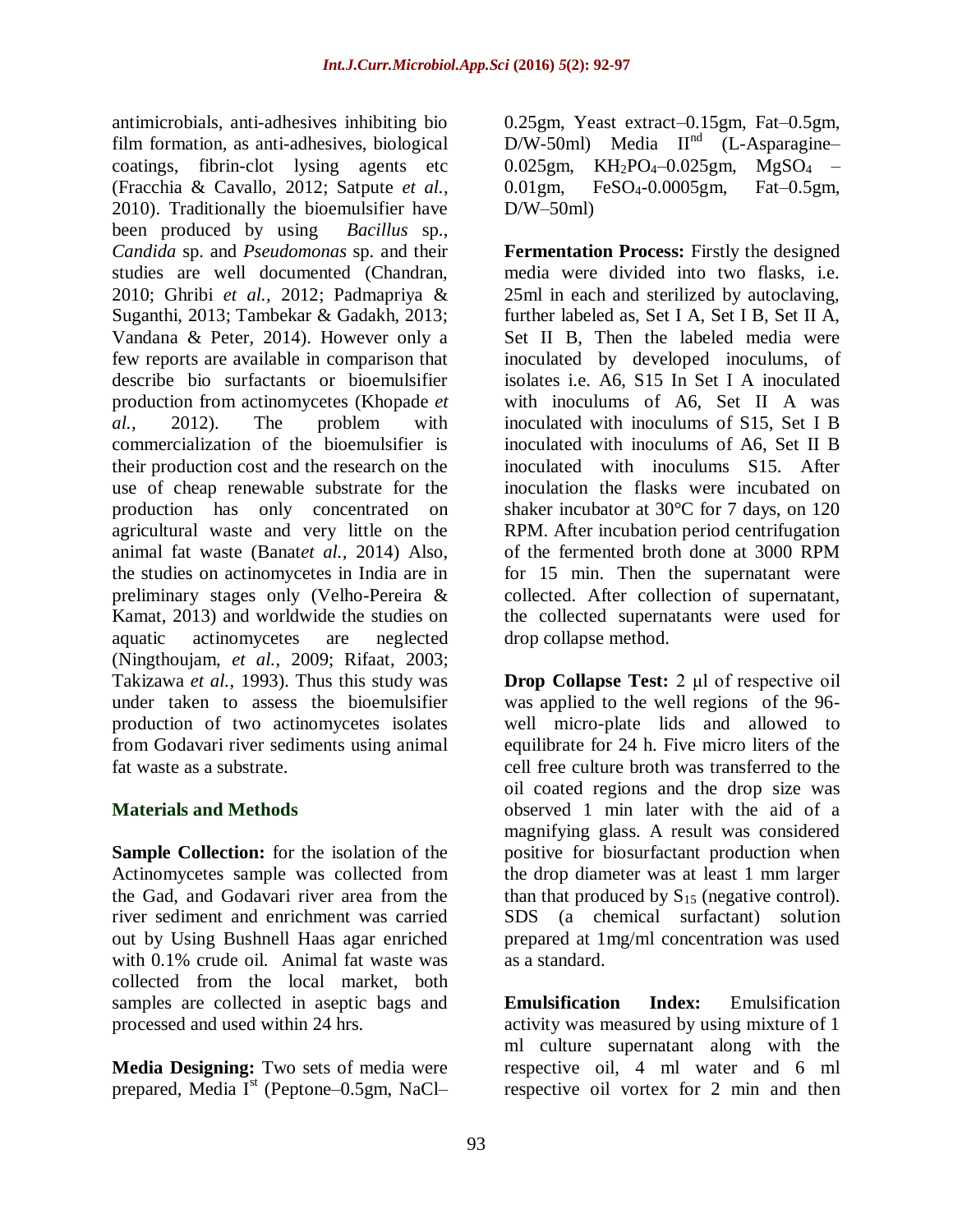antimicrobials, anti-adhesives inhibiting bio film formation, as anti-adhesives, biological coatings, fibrin-clot lysing agents etc (Fracchia & Cavallo, 2012; Satpute *et al.,* 2010). Traditionally the bioemulsifier have been produced by using *Bacillus* sp., *Candida* sp. and *Pseudomonas* sp. and their studies are well documented (Chandran, 2010; Ghribi *et al.,* 2012; Padmapriya & Suganthi, 2013; Tambekar & Gadakh, 2013; Vandana & Peter, 2014). However only a few reports are available in comparison that describe bio surfactants or bioemulsifier production from actinomycetes (Khopade *et al.,* 2012). The problem with commercialization of the bioemulsifier is their production cost and the research on the use of cheap renewable substrate for the production has only concentrated on agricultural waste and very little on the animal fat waste (Banat*et al.,* 2014) Also, the studies on actinomycetes in India are in preliminary stages only (Velho-Pereira & Kamat, 2013) and worldwide the studies on aquatic actinomycetes are neglected (Ningthoujam, *et al.,* 2009; Rifaat, 2003; Takizawa *et al.,* 1993). Thus this study was under taken to assess the bioemulsifier production of two actinomycetes isolates from Godavari river sediments using animal fat waste as a substrate.

# **Materials and Methods**

**Sample Collection:** for the isolation of the Actinomycetes sample was collected from the Gad, and Godavari river area from the river sediment and enrichment was carried out by Using Bushnell Haas agar enriched with 0.1% crude oil. Animal fat waste was collected from the local market, both samples are collected in aseptic bags and processed and used within 24 hrs.

**Media Designing:** Two sets of media were prepared, Media  $I<sup>st</sup>$  (Peptone–0.5gm, NaCl–

0.25gm, Yeast extract–0.15gm, Fat–0.5gm,  $D/W-50ml$ ) Media  $II<sup>nd</sup>$  (L-Asparagine–  $0.025$ gm, KH<sub>2</sub>PO<sub>4</sub>-0.025gm, MgSO<sub>4</sub> – 0.01gm, FeSO4-0.0005gm, Fat–0.5gm,  $D/W-50$ ml)

**Fermentation Process:** Firstly the designed media were divided into two flasks, i.e. 25ml in each and sterilized by autoclaving, further labeled as, Set I A, Set I B, Set II A, Set II B, Then the labeled media were inoculated by developed inoculums, of isolates i.e. A6, S15 In Set I A inoculated with inoculums of A6, Set II A was inoculated with inoculums of S15, Set I B inoculated with inoculums of A6, Set II B inoculated with inoculums S15. After inoculation the flasks were incubated on shaker incubator at 30°C for 7 days, on 120 RPM. After incubation period centrifugation of the fermented broth done at 3000 RPM for 15 min. Then the supernatant were collected. After collection of supernatant, the collected supernatants were used for drop collapse method.

**Drop Collapse Test:** 2 μl of respective oil was applied to the well regions of the 96 well micro-plate lids and allowed to equilibrate for 24 h. Five micro liters of the cell free culture broth was transferred to the oil coated regions and the drop size was observed 1 min later with the aid of a magnifying glass. A result was considered positive for biosurfactant production when the drop diameter was at least 1 mm larger than that produced by  $S_{15}$  (negative control). SDS (a chemical surfactant) solution prepared at 1mg/ml concentration was used as a standard.

**Emulsification Index:** Emulsification activity was measured by using mixture of 1 ml culture supernatant along with the respective oil, 4 ml water and 6 ml respective oil vortex for 2 min and then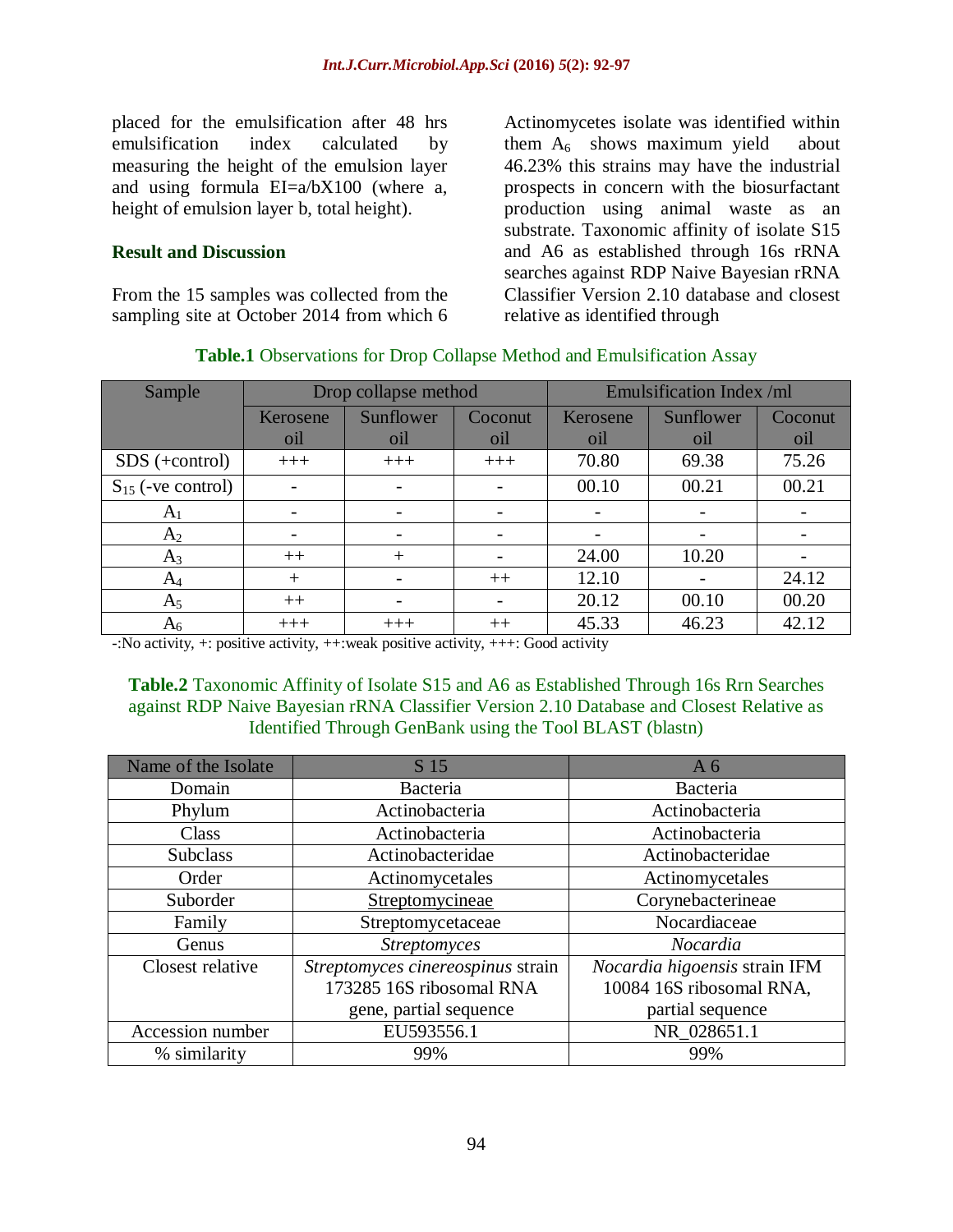placed for the emulsification after 48 hrs emulsification index calculated by measuring the height of the emulsion layer and using formula EI=a/bX100 (where a, height of emulsion layer b, total height).

## **Result and Discussion**

From the 15 samples was collected from the sampling site at October 2014 from which 6 Actinomycetes isolate was identified within them  $A_6$  shows maximum yield about 46.23% this strains may have the industrial prospects in concern with the biosurfactant production using animal waste as an substrate. Taxonomic affinity of isolate S15 and A6 as established through 16s rRNA searches against RDP Naive Bayesian rRNA Classifier Version 2.10 database and closest relative as identified through

| Sample                 | Drop collapse method |           |         | Emulsification Index /ml |           |         |
|------------------------|----------------------|-----------|---------|--------------------------|-----------|---------|
|                        | Kerosene             | Sunflower | Coconut | Kerosene                 | Sunflower | Coconut |
|                        | oil                  | oil       | oil     | oil                      | oil       | oil     |
| $SDS$ (+control)       | $+++$                | $+++$     | $+++$   | 70.80                    | 69.38     | 75.26   |
| $S_{15}$ (-ve control) |                      |           |         | 00.10                    | 00.21     | 00.21   |
| A <sub>1</sub>         |                      |           |         |                          |           |         |
| $A_2$                  |                      |           |         |                          |           |         |
| $A_3$                  | $++$                 | $^+$      |         | 24.00                    | 10.20     |         |
| $A_4$                  | $^{+}$               |           | $++$    | 12.10                    |           | 24.12   |
| A <sub>5</sub>         | $++$                 | -         |         | 20.12                    | 00.10     | 00.20   |
| $\rm A_6$              | $+++$                | $+++$     | $^{++}$ | 45.33                    | 46.23     | 42.12   |

#### **Table.1** Observations for Drop Collapse Method and Emulsification Assay

 $\div$ :No activity,  $\div$ : positive activity,  $++\div$  weak positive activity,  $++\div$ : Good activity

## **Table.2** Taxonomic Affinity of Isolate S15 and A6 as Established Through 16s Rrn Searches against RDP Naive Bayesian rRNA Classifier Version 2.10 Database and Closest Relative as Identified Through GenBank using the Tool BLAST (blastn)

| Name of the Isolate | S 15                              | A <sub>6</sub>                |  |  |
|---------------------|-----------------------------------|-------------------------------|--|--|
| Domain              | Bacteria                          | Bacteria                      |  |  |
| Phylum              | Actinobacteria                    | Actinobacteria                |  |  |
| Class               | Actinobacteria                    | Actinobacteria                |  |  |
| Subclass            | Actinobacteridae                  | Actinobacteridae              |  |  |
| Order               | Actinomycetales                   | Actinomycetales               |  |  |
| Suborder            | Streptomycineae                   | Corynebacterineae             |  |  |
| Family              | Streptomycetaceae                 | Nocardiaceae                  |  |  |
| Genus               | <b>Streptomyces</b>               | Nocardia                      |  |  |
| Closest relative    | Streptomyces cinereospinus strain | Nocardia higoensis strain IFM |  |  |
|                     | 173285 16S ribosomal RNA          | 10084 16S ribosomal RNA,      |  |  |
|                     | gene, partial sequence            | partial sequence              |  |  |
| Accession number    | EU593556.1                        | NR_028651.1                   |  |  |
| % similarity        | 99%                               | 99%                           |  |  |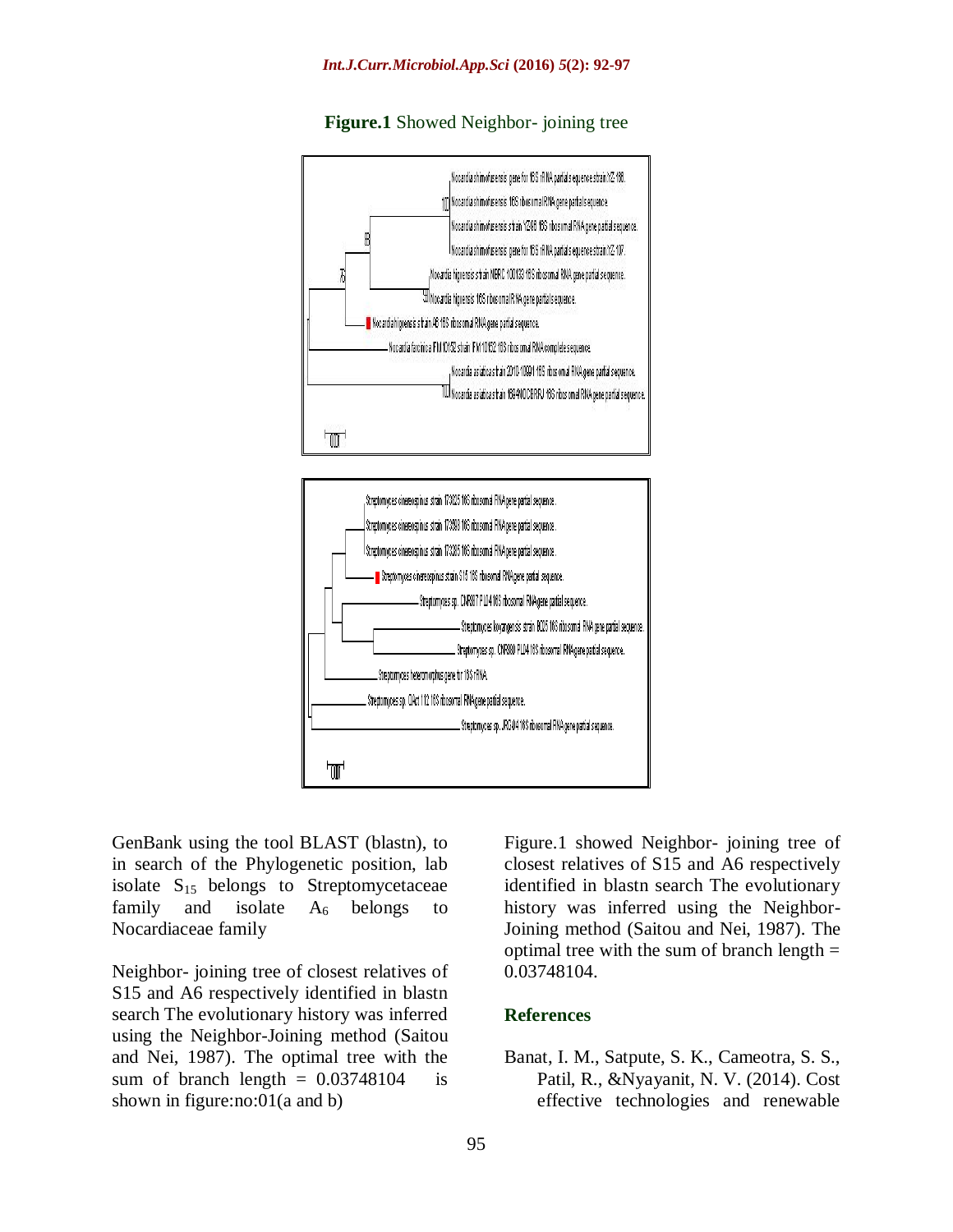

#### **Figure.1** Showed Neighbor- joining tree



GenBank using the tool BLAST (blastn), to in search of the Phylogenetic position, lab isolate  $S_{15}$  belongs to Streptomycetaceae family and isolate  $A_6$  belongs to Nocardiaceae family

Neighbor- joining tree of closest relatives of S15 and A6 respectively identified in blastn search The evolutionary history was inferred using the Neighbor-Joining method (Saitou and Nei, 1987). The optimal tree with the sum of branch length  $= 0.03748104$  is shown in figure:no:01(a and b)

Figure.1 showed Neighbor- joining tree of closest relatives of S15 and A6 respectively identified in blastn search The evolutionary history was inferred using the Neighbor-Joining method (Saitou and Nei, 1987). The optimal tree with the sum of branch length  $=$ 0.03748104.

#### **References**

Banat, I. M., Satpute, S. K., Cameotra, S. S., Patil, R., &Nyayanit, N. V. (2014). Cost effective technologies and renewable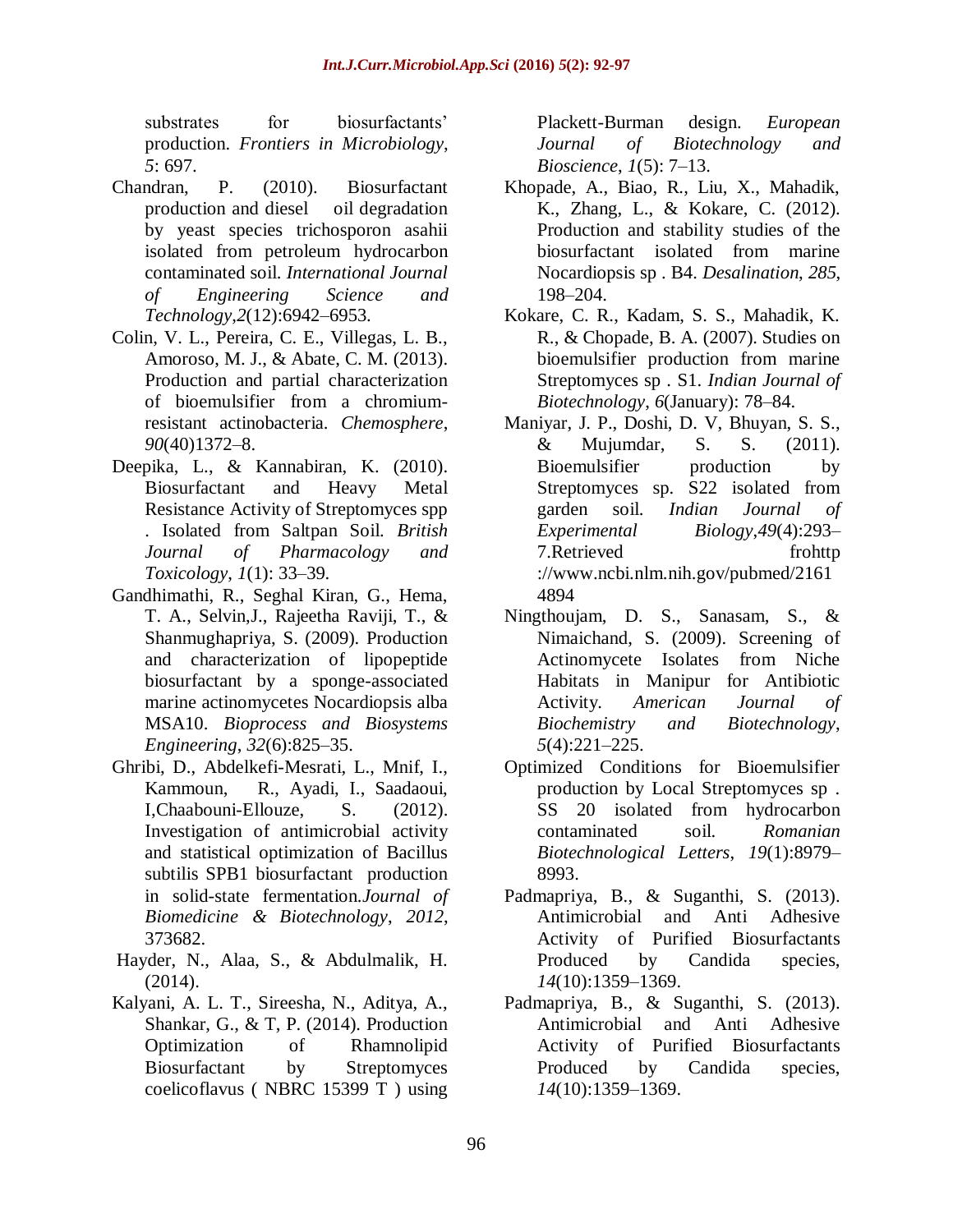substrates for biosurfactants' production. *Frontiers in Microbiology*, *5*: 697.

- Chandran, P. (2010). Biosurfactant production and diesel oil degradation by yeast species trichosporon asahii isolated from petroleum hydrocarbon contaminated soil. *International Journal of Engineering Science and Technology*,*2*(12):6942–6953.
- Colin, V. L., Pereira, C. E., Villegas, L. B., Amoroso, M. J., & Abate, C. M. (2013). Production and partial characterization of bioemulsifier from a chromiumresistant actinobacteria. *Chemosphere*, *90*(40)1372–8.
- Deepika, L., & Kannabiran, K. (2010). Biosurfactant and Heavy Metal Resistance Activity of Streptomyces spp . Isolated from Saltpan Soil. *British Journal of Pharmacology and Toxicology*, *1*(1): 33–39.
- Gandhimathi, R., Seghal Kiran, G., Hema, T. A., Selvin,J., Rajeetha Raviji, T., & Shanmughapriya, S. (2009). Production and characterization of lipopeptide biosurfactant by a sponge-associated marine actinomycetes Nocardiopsis alba MSA10. *Bioprocess and Biosystems Engineering*, *32*(6):825–35.
- Ghribi, D., Abdelkefi-Mesrati, L., Mnif, I., Kammoun, R., Ayadi, I., Saadaoui, I,Chaabouni-Ellouze, S. (2012). Investigation of antimicrobial activity and statistical optimization of Bacillus subtilis SPB1 biosurfactant production in solid-state fermentation.*Journal of Biomedicine & Biotechnology*, *2012*, 373682.
- Hayder, N., Alaa, S., & Abdulmalik, H. (2014).
- Kalyani, A. L. T., Sireesha, N., Aditya, A., Shankar, G., & T, P. (2014). Production Optimization of Rhamnolipid Biosurfactant by Streptomyces coelicoflavus ( NBRC 15399 T ) using

Plackett-Burman design. *European Journal of Biotechnology and Bioscience*, *1*(5): 7–13.

- Khopade, A., Biao, R., Liu, X., Mahadik, K., Zhang, L., & Kokare, C. (2012). Production and stability studies of the biosurfactant isolated from marine Nocardiopsis sp . B4. *Desalination*, *285*, 198–204.
- Kokare, C. R., Kadam, S. S., Mahadik, K. R., & Chopade, B. A. (2007). Studies on bioemulsifier production from marine Streptomyces sp . S1. *Indian Journal of Biotechnology*, *6*(January): 78–84.
- Maniyar, J. P., Doshi, D. V, Bhuyan, S. S., & Mujumdar, S. S. (2011). Bioemulsifier production by Streptomyces sp. S22 isolated from garden soil. *Indian Journal of Experimental Biology*,*49*(4):293– 7.Retrieved frohttp ://www.ncbi.nlm.nih.gov/pubmed/2161 4894
- Ningthoujam, D. S., Sanasam, S., & Nimaichand, S. (2009). Screening of Actinomycete Isolates from Niche Habitats in Manipur for Antibiotic Activity. *American Journal of Biochemistry and Biotechnology*, *5*(4):221–225.
- Optimized Conditions for Bioemulsifier production by Local Streptomyces sp . SS 20 isolated from hydrocarbon contaminated soil. *Romanian Biotechnological Letters*, *19*(1):8979– 8993.
- Padmapriya, B., & Suganthi, S. (2013). Antimicrobial and Anti Adhesive Activity of Purified Biosurfactants Produced by Candida species, *14*(10):1359–1369.
- Padmapriya, B., & Suganthi, S. (2013). Antimicrobial and Anti Adhesive Activity of Purified Biosurfactants Produced by Candida species, *14*(10):1359–1369.